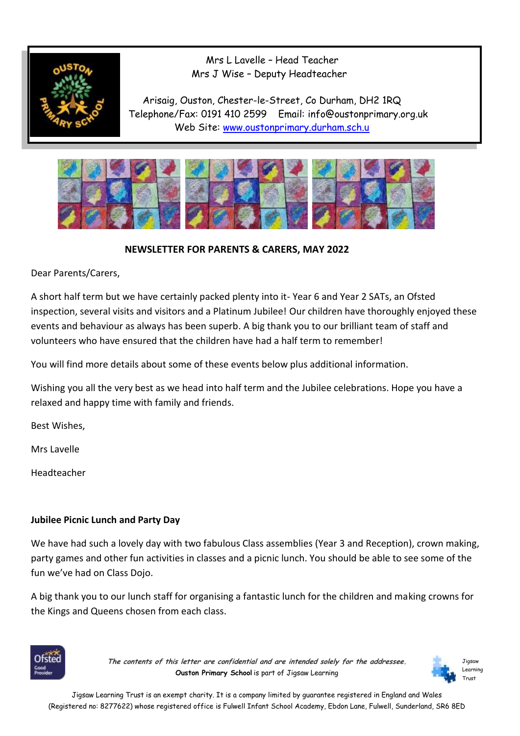

 Mrs L Lavelle – Head Teacher Mrs J Wise – Deputy Headteacher

 Arisaig, Ouston, Chester-le-Street, Co Durham, DH2 1RQ Telephone/Fax: 0191 410 2599 Email: info@oustonprimary.org.uk Web Site: [www.oustonprimary.durham.sch.u](http://www.oustonprimary.durham.sch.u/)



 **NEWSLETTER FOR PARENTS & CARERS, MAY 2022**

Dear Parents/Carers,

A short half term but we have certainly packed plenty into it- Year 6 and Year 2 SATs, an Ofsted inspection, several visits and visitors and a Platinum Jubilee! Our children have thoroughly enjoyed these events and behaviour as always has been superb. A big thank you to our brilliant team of staff and volunteers who have ensured that the children have had a half term to remember!

You will find more details about some of these events below plus additional information.

Wishing you all the very best as we head into half term and the Jubilee celebrations. Hope you have a relaxed and happy time with family and friends.

Best Wishes,

Mrs Lavelle

Headteacher

# **Jubilee Picnic Lunch and Party Day**

We have had such a lovely day with two fabulous Class assemblies (Year 3 and Reception), crown making, party games and other fun activities in classes and a picnic lunch. You should be able to see some of the fun we've had on Class Dojo.

A big thank you to our lunch staff for organising a fantastic lunch for the children and making crowns for the Kings and Queens chosen from each class.



**The contents of this letter are confidential and are intended solely for the addressee. Ouston Primary School** is part of Jigsaw Learning

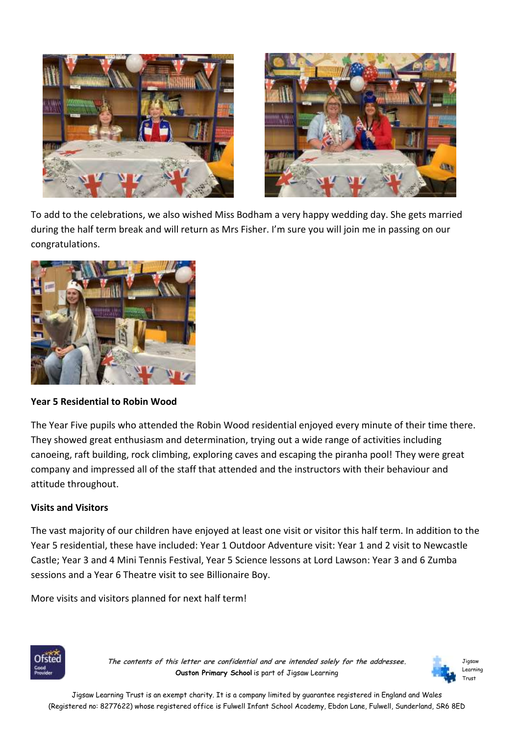



To add to the celebrations, we also wished Miss Bodham a very happy wedding day. She gets married during the half term break and will return as Mrs Fisher. I'm sure you will join me in passing on our congratulations.



# **Year 5 Residential to Robin Wood**

The Year Five pupils who attended the Robin Wood residential enjoyed every minute of their time there. They showed great enthusiasm and determination, trying out a wide range of activities including canoeing, raft building, rock climbing, exploring caves and escaping the piranha pool! They were great company and impressed all of the staff that attended and the instructors with their behaviour and attitude throughout.

# **Visits and Visitors**

The vast majority of our children have enjoyed at least one visit or visitor this half term. In addition to the Year 5 residential, these have included: Year 1 Outdoor Adventure visit: Year 1 and 2 visit to Newcastle Castle; Year 3 and 4 Mini Tennis Festival, Year 5 Science lessons at Lord Lawson: Year 3 and 6 Zumba sessions and a Year 6 Theatre visit to see Billionaire Boy.

More visits and visitors planned for next half term!



**The contents of this letter are confidential and are intended solely for the addressee. Ouston Primary School** is part of Jigsaw Learning



Jigsaw Learning Trust is an exempt charity. It is a company limited by guarantee registered in England and Wales (Registered no: 8277622) whose registered office is Fulwell Infant School Academy, Ebdon Lane, Fulwell, Sunderland, SR6 8ED